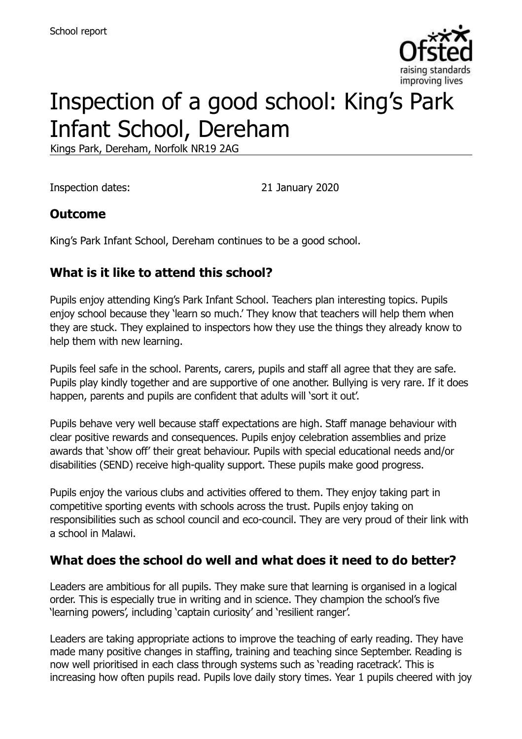

# Inspection of a good school: King's Park Infant School, Dereham

Kings Park, Dereham, Norfolk NR19 2AG

Inspection dates: 21 January 2020

#### **Outcome**

King's Park Infant School, Dereham continues to be a good school.

## **What is it like to attend this school?**

Pupils enjoy attending King's Park Infant School. Teachers plan interesting topics. Pupils enjoy school because they 'learn so much.' They know that teachers will help them when they are stuck. They explained to inspectors how they use the things they already know to help them with new learning.

Pupils feel safe in the school. Parents, carers, pupils and staff all agree that they are safe. Pupils play kindly together and are supportive of one another. Bullying is very rare. If it does happen, parents and pupils are confident that adults will 'sort it out'.

Pupils behave very well because staff expectations are high. Staff manage behaviour with clear positive rewards and consequences. Pupils enjoy celebration assemblies and prize awards that 'show off' their great behaviour. Pupils with special educational needs and/or disabilities (SEND) receive high-quality support. These pupils make good progress.

Pupils enjoy the various clubs and activities offered to them. They enjoy taking part in competitive sporting events with schools across the trust. Pupils enjoy taking on responsibilities such as school council and eco-council. They are very proud of their link with a school in Malawi.

#### **What does the school do well and what does it need to do better?**

Leaders are ambitious for all pupils. They make sure that learning is organised in a logical order. This is especially true in writing and in science. They champion the school's five 'learning powers', including 'captain curiosity' and 'resilient ranger'.

Leaders are taking appropriate actions to improve the teaching of early reading. They have made many positive changes in staffing, training and teaching since September. Reading is now well prioritised in each class through systems such as 'reading racetrack'. This is increasing how often pupils read. Pupils love daily story times. Year 1 pupils cheered with joy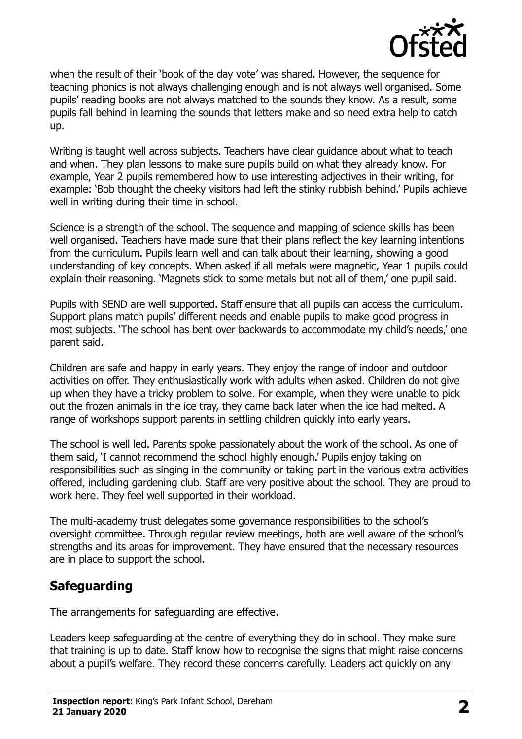

when the result of their 'book of the day vote' was shared. However, the sequence for teaching phonics is not always challenging enough and is not always well organised. Some pupils' reading books are not always matched to the sounds they know. As a result, some pupils fall behind in learning the sounds that letters make and so need extra help to catch up.

Writing is taught well across subjects. Teachers have clear guidance about what to teach and when. They plan lessons to make sure pupils build on what they already know. For example, Year 2 pupils remembered how to use interesting adjectives in their writing, for example: 'Bob thought the cheeky visitors had left the stinky rubbish behind.' Pupils achieve well in writing during their time in school.

Science is a strength of the school. The sequence and mapping of science skills has been well organised. Teachers have made sure that their plans reflect the key learning intentions from the curriculum. Pupils learn well and can talk about their learning, showing a good understanding of key concepts. When asked if all metals were magnetic, Year 1 pupils could explain their reasoning. 'Magnets stick to some metals but not all of them,' one pupil said.

Pupils with SEND are well supported. Staff ensure that all pupils can access the curriculum. Support plans match pupils' different needs and enable pupils to make good progress in most subjects. 'The school has bent over backwards to accommodate my child's needs,' one parent said.

Children are safe and happy in early years. They enjoy the range of indoor and outdoor activities on offer. They enthusiastically work with adults when asked. Children do not give up when they have a tricky problem to solve. For example, when they were unable to pick out the frozen animals in the ice tray, they came back later when the ice had melted. A range of workshops support parents in settling children quickly into early years.

The school is well led. Parents spoke passionately about the work of the school. As one of them said, 'I cannot recommend the school highly enough.' Pupils enjoy taking on responsibilities such as singing in the community or taking part in the various extra activities offered, including gardening club. Staff are very positive about the school. They are proud to work here. They feel well supported in their workload.

The multi-academy trust delegates some governance responsibilities to the school's oversight committee. Through regular review meetings, both are well aware of the school's strengths and its areas for improvement. They have ensured that the necessary resources are in place to support the school.

#### **Safeguarding**

The arrangements for safeguarding are effective.

Leaders keep safeguarding at the centre of everything they do in school. They make sure that training is up to date. Staff know how to recognise the signs that might raise concerns about a pupil's welfare. They record these concerns carefully. Leaders act quickly on any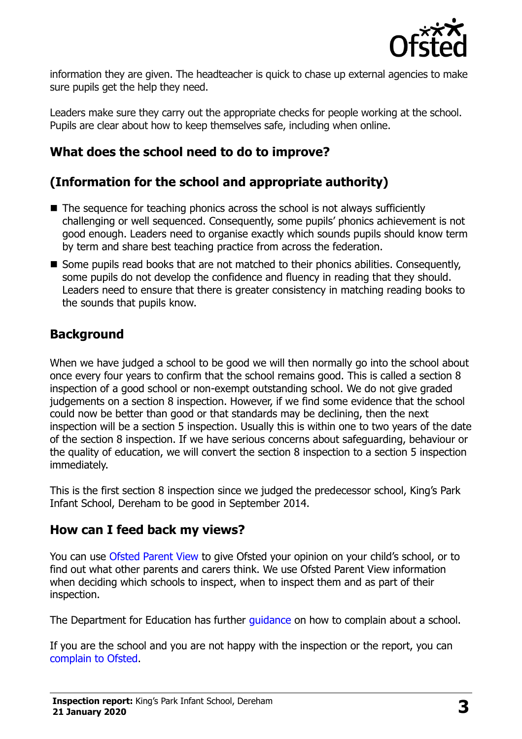

information they are given. The headteacher is quick to chase up external agencies to make sure pupils get the help they need.

Leaders make sure they carry out the appropriate checks for people working at the school. Pupils are clear about how to keep themselves safe, including when online.

#### **What does the school need to do to improve?**

## **(Information for the school and appropriate authority)**

- The sequence for teaching phonics across the school is not always sufficiently challenging or well sequenced. Consequently, some pupils' phonics achievement is not good enough. Leaders need to organise exactly which sounds pupils should know term by term and share best teaching practice from across the federation.
- Some pupils read books that are not matched to their phonics abilities. Consequently, some pupils do not develop the confidence and fluency in reading that they should. Leaders need to ensure that there is greater consistency in matching reading books to the sounds that pupils know.

#### **Background**

When we have judged a school to be good we will then normally go into the school about once every four years to confirm that the school remains good. This is called a section 8 inspection of a good school or non-exempt outstanding school. We do not give graded judgements on a section 8 inspection. However, if we find some evidence that the school could now be better than good or that standards may be declining, then the next inspection will be a section 5 inspection. Usually this is within one to two years of the date of the section 8 inspection. If we have serious concerns about safeguarding, behaviour or the quality of education, we will convert the section 8 inspection to a section 5 inspection immediately.

This is the first section 8 inspection since we judged the predecessor school, King's Park Infant School, Dereham to be good in September 2014.

#### **How can I feed back my views?**

You can use [Ofsted Parent View](https://parentview.ofsted.gov.uk/) to give Ofsted your opinion on your child's school, or to find out what other parents and carers think. We use Ofsted Parent View information when deciding which schools to inspect, when to inspect them and as part of their inspection.

The Department for Education has further quidance on how to complain about a school.

If you are the school and you are not happy with the inspection or the report, you can [complain to Ofsted.](https://www.gov.uk/complain-ofsted-report)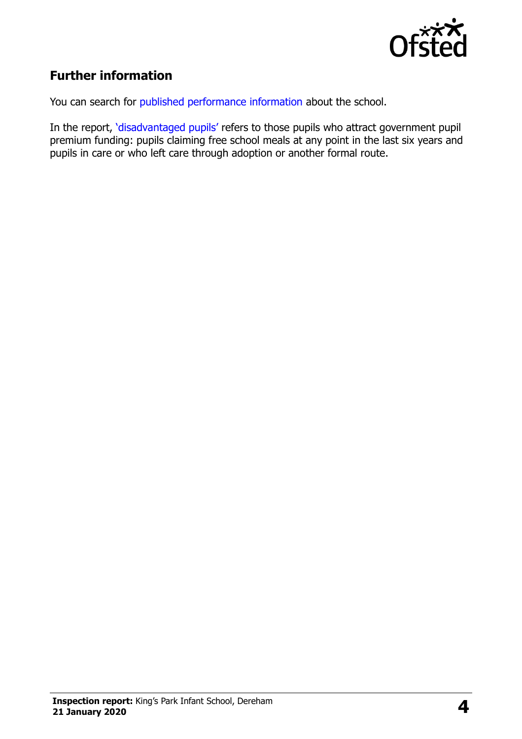

#### **Further information**

You can search for [published performance information](http://www.compare-school-performance.service.gov.uk/) about the school.

In the report, '[disadvantaged pupils](http://www.gov.uk/guidance/pupil-premium-information-for-schools-and-alternative-provision-settings)' refers to those pupils who attract government pupil premium funding: pupils claiming free school meals at any point in the last six years and pupils in care or who left care through adoption or another formal route.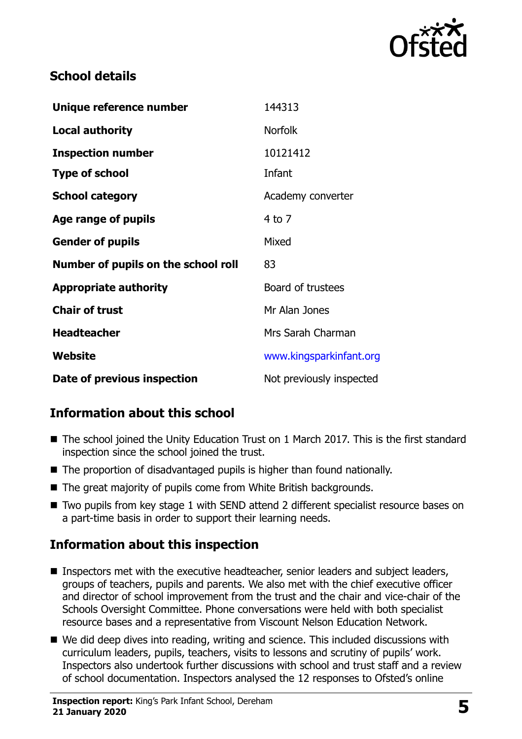

#### **School details**

| Unique reference number             | 144313                   |
|-------------------------------------|--------------------------|
| <b>Local authority</b>              | <b>Norfolk</b>           |
| <b>Inspection number</b>            | 10121412                 |
| <b>Type of school</b>               | Infant                   |
| <b>School category</b>              | Academy converter        |
| Age range of pupils                 | $4$ to $7$               |
| <b>Gender of pupils</b>             | Mixed                    |
| Number of pupils on the school roll | 83                       |
| <b>Appropriate authority</b>        | Board of trustees        |
| <b>Chair of trust</b>               | Mr Alan Jones            |
| <b>Headteacher</b>                  | Mrs Sarah Charman        |
| Website                             | www.kingsparkinfant.org  |
| Date of previous inspection         | Not previously inspected |

#### **Information about this school**

- The school joined the Unity Education Trust on 1 March 2017. This is the first standard inspection since the school joined the trust.
- The proportion of disadvantaged pupils is higher than found nationally.
- The great majority of pupils come from White British backgrounds.
- Two pupils from key stage 1 with SEND attend 2 different specialist resource bases on a part-time basis in order to support their learning needs.

#### **Information about this inspection**

- Inspectors met with the executive headteacher, senior leaders and subject leaders, groups of teachers, pupils and parents. We also met with the chief executive officer and director of school improvement from the trust and the chair and vice-chair of the Schools Oversight Committee. Phone conversations were held with both specialist resource bases and a representative from Viscount Nelson Education Network.
- We did deep dives into reading, writing and science. This included discussions with curriculum leaders, pupils, teachers, visits to lessons and scrutiny of pupils' work. Inspectors also undertook further discussions with school and trust staff and a review of school documentation. Inspectors analysed the 12 responses to Ofsted's online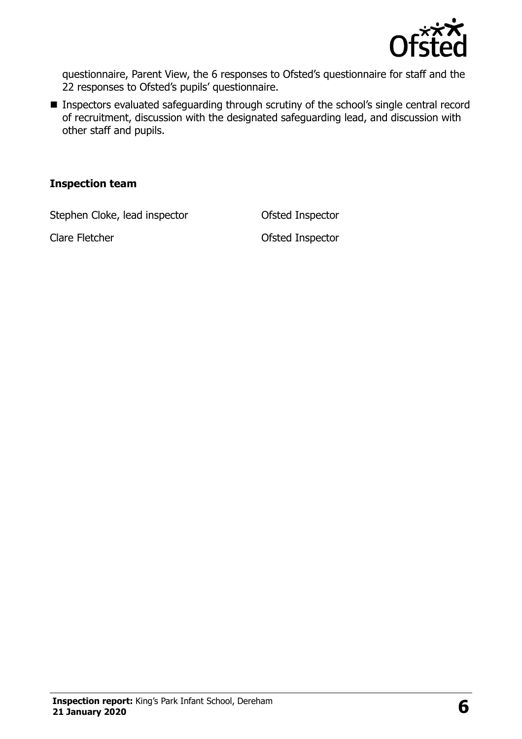

questionnaire, Parent View, the 6 responses to Ofsted's questionnaire for staff and the 22 responses to Ofsted's pupils' questionnaire.

**Inspectors evaluated safeguarding through scrutiny of the school's single central record** of recruitment, discussion with the designated safeguarding lead, and discussion with other staff and pupils.

#### **Inspection team**

Stephen Cloke, lead inspector **Ofsted Inspector** 

Clare Fletcher **Clare Fletcher** Clare Fletcher